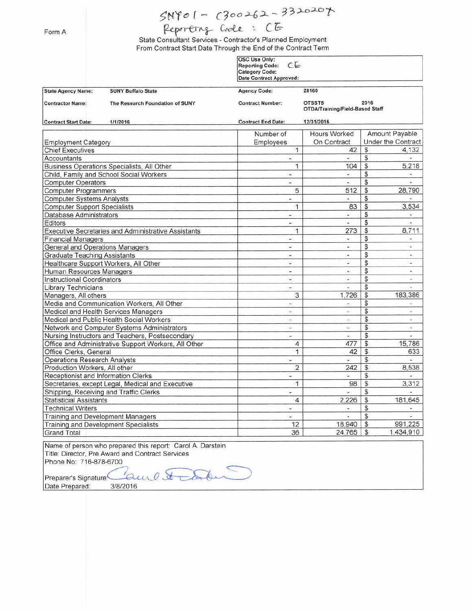## $SNY01 - C300262 - 3320207$

## Reporting Code: CG

State Consultant Services - Contractor's Planned Employment From Contract Start Date Through the End of the Contract Term

|                                                     | <b>SUNY Buffalo State</b><br>The Research Foundation of SUNY<br>1/1/2016 | OSC Use Only:<br>CE<br><b>Reporting Code:</b><br><b>Category Code:</b><br><b>Date Contract Approved:</b> |                                                                   |                    |                          |  |
|-----------------------------------------------------|--------------------------------------------------------------------------|----------------------------------------------------------------------------------------------------------|-------------------------------------------------------------------|--------------------|--------------------------|--|
| <b>State Agency Name:</b>                           |                                                                          | <b>Agency Code:</b><br><b>Contract Number:</b>                                                           | 28160<br>2016<br>OTSST5<br><b>OTDA/Training/Field-Based Staff</b> |                    |                          |  |
| <b>Contractor Name:</b>                             |                                                                          |                                                                                                          |                                                                   |                    |                          |  |
| <b>Contract Start Date:</b>                         |                                                                          | <b>Contract End Date:</b>                                                                                | 12/31/2016                                                        |                    |                          |  |
|                                                     |                                                                          | Number of                                                                                                | <b>Hours Worked</b><br>Amount Payable                             |                    |                          |  |
| <b>Employment Category</b>                          |                                                                          | On Contract<br>Employees                                                                                 |                                                                   | Under the Contract |                          |  |
| <b>Chief Executives</b>                             |                                                                          | $\mathbf{1}$                                                                                             | 42                                                                | \$                 | 4.132                    |  |
| Accountants                                         |                                                                          | $\dot{}$                                                                                                 |                                                                   | \$                 |                          |  |
| Business Operations Specialists, All Other          |                                                                          | 1                                                                                                        | 104                                                               | \$                 | 5,218                    |  |
| Child, Family and School Social Workers             |                                                                          | $\overline{\phantom{a}}$                                                                                 | υ                                                                 | \$                 | $\overline{\phantom{a}}$ |  |
| <b>Computer Operators</b>                           |                                                                          | ×                                                                                                        | ٠                                                                 | \$                 | ×.                       |  |
| <b>Computer Programmers</b>                         |                                                                          | 5                                                                                                        | 512                                                               | \$                 | 28,790                   |  |
| <b>Computer Systems Analysts</b>                    |                                                                          | $\overline{\phantom{a}}$                                                                                 |                                                                   | \$                 |                          |  |
| <b>Computer Support Specialists</b>                 |                                                                          | 1                                                                                                        | 83                                                                | \$                 | 3,534                    |  |
| Database Administrators                             |                                                                          | Ξ                                                                                                        | i.                                                                | \$                 | $\overline{\phantom{a}}$ |  |
| Editors                                             |                                                                          | $\blacksquare$                                                                                           | $\blacksquare$                                                    | \$                 | $\overline{a}$           |  |
| Executive Secretaries and Administrative Assistants |                                                                          | $\mathbf{1}$                                                                                             | 273                                                               | $\mathfrak{s}$     | 8,711                    |  |
| <b>Financial Managers</b>                           |                                                                          | s.                                                                                                       | ä,                                                                | \$                 | u,                       |  |
| General and Operations Managers                     |                                                                          | $\blacksquare$                                                                                           | ×                                                                 | \$                 | $\overline{\phantom{a}}$ |  |
| <b>Graduate Teaching Assistants</b>                 |                                                                          | $\blacksquare$                                                                                           | $\overline{\phantom{a}}$                                          | \$                 | $\overline{a}$           |  |
| Healthcare Support Workers, All Other               |                                                                          | ÷                                                                                                        |                                                                   | \$                 | ¥.                       |  |
| Human Resources Managers                            |                                                                          | $\overline{\phantom{a}}$                                                                                 | ÷.                                                                | \$                 | ÷.                       |  |
| <b>Instructional Coordinators</b>                   |                                                                          | $\sim$                                                                                                   |                                                                   | \$                 | ۰                        |  |
| Library Technicians                                 |                                                                          | $\overline{\phantom{a}}$                                                                                 | u                                                                 | \$                 |                          |  |
| Managers, All others                                |                                                                          | 3                                                                                                        | 1,726                                                             | \$                 | 183,386                  |  |
| Media and Communication Workers, All Other          |                                                                          | $\sim$                                                                                                   |                                                                   | \$                 |                          |  |
| Medical and Health Services Managers                |                                                                          | ۰                                                                                                        | ٠                                                                 | \$                 | ٠                        |  |
| Medical and Public Health Social Workers            |                                                                          | Ľ,                                                                                                       | ÷.                                                                | \$                 | s.                       |  |
| Network and Computer Systems Administrators         |                                                                          | $\overline{\phantom{a}}$                                                                                 | ÷                                                                 | \$                 | ÷.                       |  |
| Nursing Instructors and Teachers, Postsecondary     |                                                                          | ٠                                                                                                        | w.                                                                | \$                 | ×                        |  |
|                                                     | Office and Administrative Support Workers, All Other                     | $\overline{4}$                                                                                           | 477                                                               | \$                 | 15,786                   |  |
| Office Clerks, General                              |                                                                          | $\mathbf{1}$                                                                                             | 42                                                                | \$                 | 633                      |  |
| <b>Operations Research Analysts</b>                 |                                                                          | ٠                                                                                                        |                                                                   | \$                 |                          |  |
| Production Workers, All other                       |                                                                          | 2                                                                                                        | 242                                                               | \$                 | 8,538                    |  |
| Receptionist and Information Clerks                 |                                                                          | ٠                                                                                                        |                                                                   | \$                 |                          |  |
| Secretaries, except Legal, Medical and Executive    |                                                                          | 1                                                                                                        | 98                                                                | $\mathfrak{s}$     | 3,312                    |  |
| Shipping, Receiving and Traffic Clerks              |                                                                          | $\overline{a}$                                                                                           |                                                                   | \$                 |                          |  |
| <b>Statisticial Assistants</b>                      |                                                                          | 4                                                                                                        | 2,226                                                             | \$                 | 181,645                  |  |
| <b>Technical Writers</b>                            |                                                                          | ÷                                                                                                        | $\overline{\phantom{a}}$                                          | \$                 | ÷.                       |  |
| Training and Development Managers                   |                                                                          | $\frac{1}{2}$                                                                                            | Ϋ́.                                                               | \$                 | ×.                       |  |
|                                                     | Training and Development Specialists                                     | 12                                                                                                       | 18,940                                                            | \$                 | 991.225                  |  |
| <b>Grand Total</b>                                  |                                                                          | 36                                                                                                       | 24.765                                                            | \$                 | 1,434,910                |  |

Name of person who prepared this report: Carol A. Darstein Title: Director, Pre Award and Contract Services Phone No: 716-878-6700

 $\mu_0$  or Preparer's Signature. Date Prepared: 3/8/2016